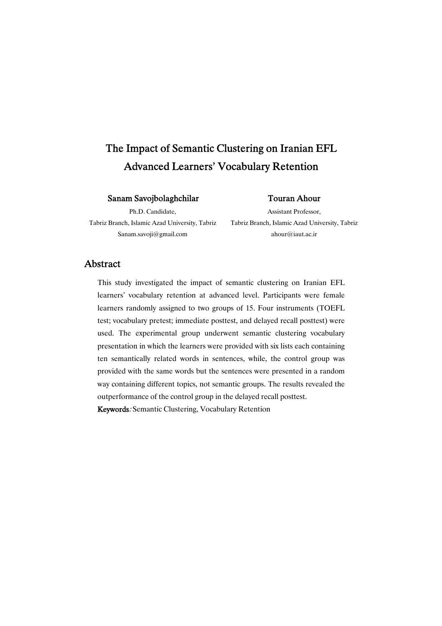# The Impact of Semantic Clustering on Iranian EFL Advanced Learners' Vocabulary Retention

### SanamSavojbolaghchilar

### TouranAhour

Ph.D. Candidate,

Tabriz Branch, Islamic Azad University, Tabriz Sanam.savoji@gmail.com

Assistant Professor, Tabriz Branch, Islamic Azad University, Tabriz ahour@iaut.ac.ir

### Abstract

This study investigated the impact of semantic clustering on Iranian EFL learners' vocabulary retention at advanced level. Participants were female learners randomly assigned to two groups of 15. Four instruments (TOEFL test; vocabulary pretest; immediate posttest, and delayed recall posttest) were used. The experimental group underwent semantic clustering vocabulary presentation in which the learners were provided with six lists each containing ten semantically related words in sentences, while, the control group was provided with the same words but the sentences were presented in a random way containing different topics, not semantic groups. The results revealed the outperformance of the control group in the delayed recall posttest.

Keywords: Semantic Clustering, Vocabulary Retention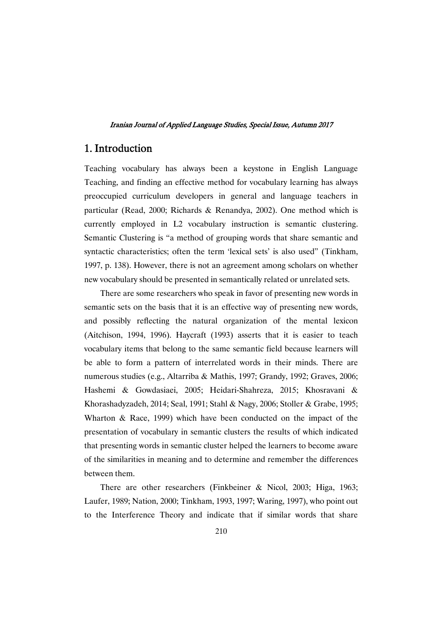# 1.Introduction

Teaching vocabulary has always been a keystone in English Language Teaching, and finding an effective method for vocabulary learning has always preoccupied curriculum developers in general and language teachers in particular (Read, 2000; Richards & Renandya, 2002). One method which is currently employed in L2 vocabulary instruction is semantic clustering. Semantic Clustering is "a method of grouping words that share semantic and syntactic characteristics; often the term 'lexical sets' is also used" (Tinkham, 1997, p. 138). However, there is not an agreement among scholars on whether new vocabulary should be presented in semantically related or unrelated sets.

There are some researchers who speak in favor of presenting new words in semantic sets on the basis that it is an effective way of presenting new words, and possibly reflecting the natural organization of the mental lexicon (Aitchison, 1994, 1996). Haycraft (1993) asserts that it is easier to teach vocabulary items that belong to the same semantic field because learners will be able to form a pattern of interrelated words in their minds. There are numerous studies (e.g., Altarriba & Mathis, 1997; Grandy, 1992; Graves, 2006; Hashemi & Gowdasiaei, 2005; Heidari-Shahreza, 2015; Khosravani & Khorashadyzadeh, 2014; Seal, 1991; Stahl & Nagy, 2006; Stoller & Grabe, 1995; Wharton & Race, 1999) which have been conducted on the impact of the presentation of vocabulary in semantic clusters the results of which indicated that presenting words in semantic cluster helped the learners to become aware of the similarities in meaning and to determine and remember the differences between them.

There are other researchers (Finkbeiner & Nicol, 2003; Higa, 1963; Laufer, 1989; Nation, 2000; Tinkham, 1993, 1997; Waring, 1997), who point out to the Interference Theory and indicate that if similar words that share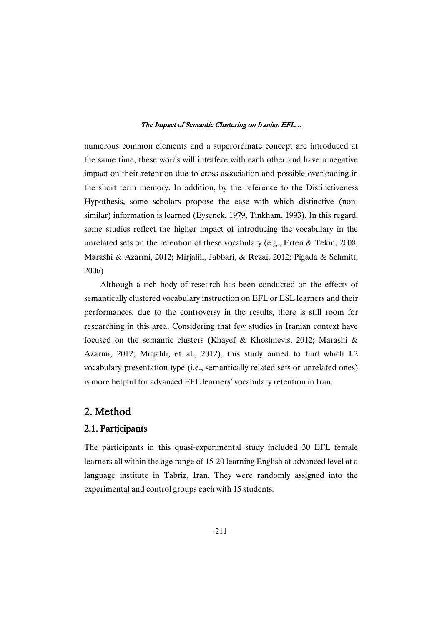numerous common elements and a superordinate concept are introduced at the same time, these words will interfere with each other and have a negative impact on their retention due to cross-association and possible overloading in the short term memory. In addition, by the reference to the Distinctiveness Hypothesis, some scholars propose the ease with which distinctive (nonsimilar) information is learned (Eysenck, 1979, Tinkham, 1993). In this regard, some studies reflect the higher impact of introducing the vocabulary in the unrelated sets on the retention of these vocabulary (e.g., Erten & Tekin, 2008; Marashi & Azarmi, 2012; Mirjalili, Jabbari, & Rezai, 2012; Pigada & Schmitt, 2006)

Although a rich body of research has been conducted on the effects of semantically clustered vocabulary instruction on EFL or ESL learners and their performances, due to the controversy in the results, there is still room for researching in this area. Considering that few studies in Iranian context have focused on the semantic clusters (Khayef & Khoshnevis, 2012; Marashi & Azarmi, 2012; Mirjalili, et al., 2012), this study aimed to find which L2 vocabulary presentation type (i.e., semantically related sets or unrelated ones) is more helpful for advanced EFL learners' vocabulary retention in Iran.

# 2.Method

# 2.1.Participants

The participants in this quasi-experimental study included 30 EFL female learners all within the age range of 15-20 learning English at advanced level at a language institute in Tabriz, Iran. They were randomly assigned into the experimental and control groups each with 15 students.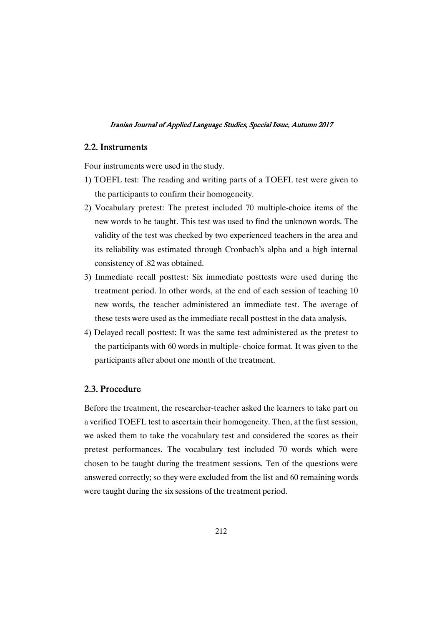### 2.2.Instruments

Four instruments were used in the study.

- 1) TOEFL test: The reading and writing parts of a TOEFL test were given to the participants to confirm their homogeneity.
- 2) Vocabulary pretest: The pretest included 70 multiple-choice items of the new words to be taught. This test was used to find the unknown words. The validity of the test was checked by two experienced teachers in the area and its reliability was estimated through Cronbach's alpha and a high internal consistency of .82 was obtained.
- 3) Immediate recall posttest: Six immediate posttests were used during the treatment period. In other words, at the end of each session of teaching 10 new words, the teacher administered an immediate test. The average of these tests were used as the immediate recall posttest in the data analysis.
- 4) Delayed recall posttest: It was the same test administered as the pretest to the participants with 60 words in multiple- choice format. It was given to the participants after about one month of the treatment.

### 2.3.Procedure

Before the treatment, the researcher-teacher asked the learners to take part on a verified TOEFL test to ascertain their homogeneity. Then, at the first session, we asked them to take the vocabulary test and considered the scores as their pretest performances. The vocabulary test included 70 words which were chosen to be taught during the treatment sessions. Ten of the questions were answered correctly; so they were excluded from the list and 60 remaining words were taught during the six sessions of the treatment period.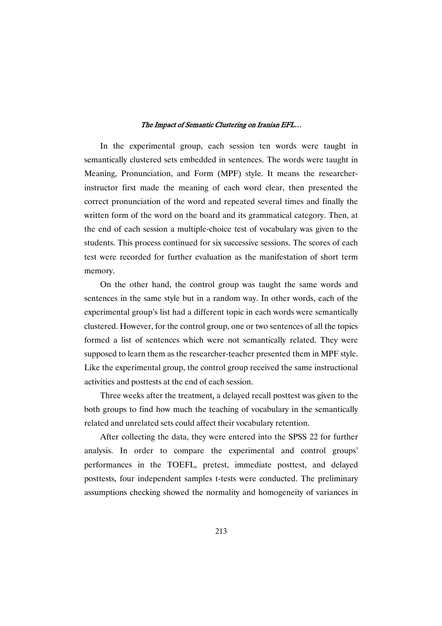In the experimental group, each session ten words were taught in semantically clustered sets embedded in sentences. The words were taught in Meaning, Pronunciation, and Form (MPF) style. It means the researcherinstructor first made the meaning of each word clear, then presented the correct pronunciation of the word and repeated several times and finally the written form of the word on the board and its grammatical category. Then, at the end of each session a multiple-choice test of vocabulary was given to the students. This process continued for six successive sessions. The scores of each test were recorded for further evaluation as the manifestation of short term memory.

On the other hand, the control group was taught the same words and sentences in the same style but in a random way. In other words, each of the experimental group's list had a different topic in each words were semantically clustered. However, for the control group, one or two sentences of all the topics formed a list of sentences which were not semantically related. They were supposed to learn them as the researcher-teacher presented them in MPF style. Like the experimental group, the control group received the same instructional activities and posttests at the end of each session.

Three weeks after the treatment, a delayed recall posttest was given to the both groups to find how much the teaching of vocabulary in the semantically related and unrelated sets could affect their vocabulary retention.

After collecting the data, they were entered into the SPSS 22 for further analysis. In order to compare the experimental and control groups' performances in the TOEFL, pretest, immediate posttest, and delayed posttests, four independent samples t-tests were conducted. The preliminary assumptions checking showed the normality and homogeneity of variances in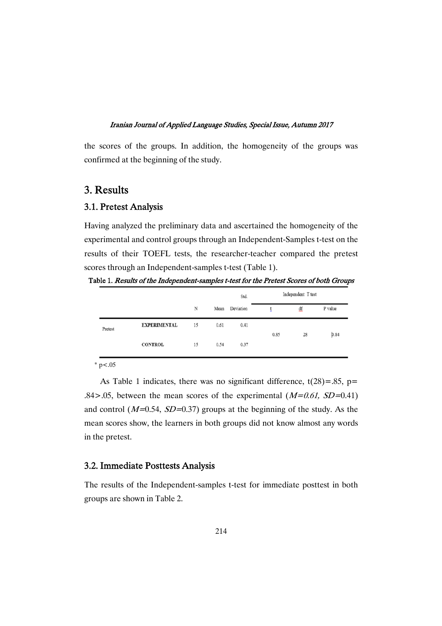the scores of the groups. In addition, the homogeneity of the groups was confirmed at the beginning of the study.

## 3.Results

### 3.1. Pretest Analysis

Having analyzed the preliminary data and ascertained the homogeneity of the experimental and control groups through an Independent-Samples t-test on the results of their TOEFL tests, the researcher-teacher compared the pretest scores through an Independent-samples t-test (Table 1).

Table 1. Results of the Independent-samples t-test for the Pretest Scores of both Groups

|         |                     |    |      | Std.      | Independent T test |    |         |
|---------|---------------------|----|------|-----------|--------------------|----|---------|
|         |                     | N  | Mean | Deviation |                    | df | P value |
| Pretest | <b>EXPERIMENTAL</b> | 15 | 0.61 | 0.41      | 0.85               | 28 | 0.84    |
|         | <b>CONTROL</b>      | 15 | 0.54 | 0.37      |                    |    |         |

 $*$  p < .05

As Table 1 indicates, there was no significant difference,  $t(28) = .85$ ,  $p=$ .84>.05, between the mean scores of the experimental  $(M=0.61, SD=0.41)$ and control ( $M=0.54$ ,  $SD=0.37$ ) groups at the beginning of the study. As the mean scores show, the learners in both groups did not know almost any words in the pretest.

### 3.2. Immediate Posttests Analysis

The results of the Independent-samples t-test for immediate posttest in both groups are shown in Table 2.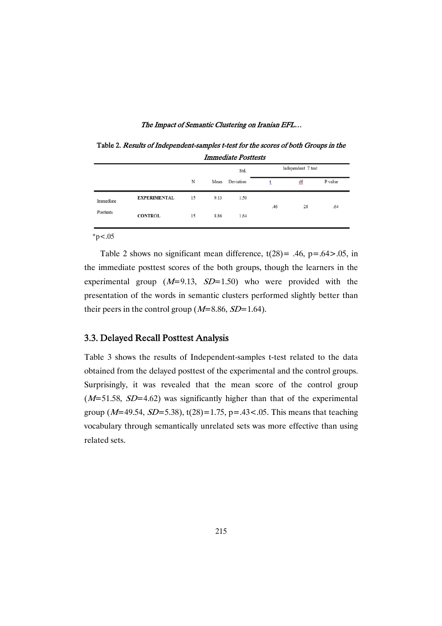Table 2. Results of Independent-samples t-test for the scores of both Groups in the **Immediate Posttests** 

|           |                     |    | Independent T test<br>Std. |           |     |           |         |
|-----------|---------------------|----|----------------------------|-----------|-----|-----------|---------|
|           |                     | N  | Mean                       | Deviation |     | df        | P value |
| Immediate | <b>EXPERIMENTAL</b> | 15 | 9.13                       | 1.50      |     | 28<br>.64 |         |
| Posttests | <b>CONTROL</b>      | 15 | 8.86                       | 1.64      | .46 |           |         |

 $*_{p<.05}$ 

Table 2 shows no significant mean difference,  $t(28) = .46$ ,  $p = .64 > .05$ , in the immediate posttest scores of the both groups, though the learners in the experimental group  $(M=9.13, SD=1.50)$  who were provided with the presentation of the words in semantic clusters performed slightly better than their peers in the control group ( $M=8.86$ ,  $SD=1.64$ ).

### 3.3. Delayed Recall Posttest Analysis

Table 3 shows the results of Independent-samples t-test related to the data obtained from the delayed posttest of the experimental and the control groups. Surprisingly, it was revealed that the mean score of the control group  $(M=51.58, SD=4.62)$  was significantly higher than that of the experimental group ( $M=49.54$ ,  $SD=5.38$ ), t(28)=1.75, p=.43<.05. This means that teaching vocabulary through semantically unrelated sets was more effective than using related sets.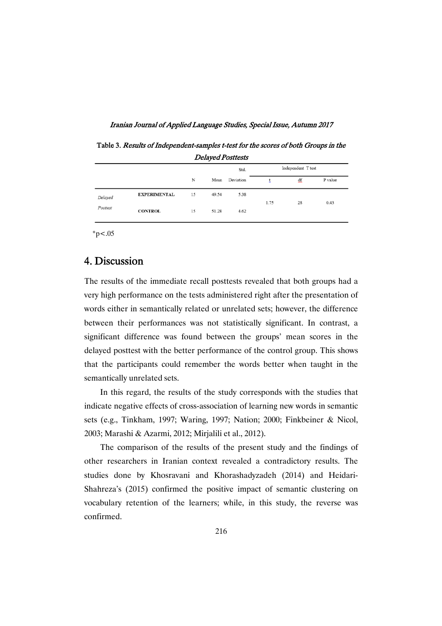Iranian Journal of Applied Language Studies, Special Issue, Autumn 2017

Table 3. Results of Independent-samples t-test for the scores of both Groups in the Delayed Posttests

|                     |                     |    |       | Std.      | Independent T test |    |         |
|---------------------|---------------------|----|-------|-----------|--------------------|----|---------|
|                     |                     | N  | Mean  | Deviation |                    | df | P value |
| Delayed<br>Posttest | <b>EXPERIMENTAL</b> | 15 | 49.54 | 5.38      | 1.75               | 28 | 0.43    |
|                     | <b>CONTROL</b>      | 15 | 51.28 | 4.62      |                    |    |         |

 $*p<.05$ 

# 4.Discussion

The results of the immediate recall posttests revealed that both groups had a very high performance on the tests administered right after the presentation of words either in semantically related or unrelated sets; however, the difference between their performances was not statistically significant. In contrast, a significant difference was found between the groups' mean scores in the delayed posttest with the better performance of the control group. This shows that the participants could remember the words better when taught in the semantically unrelated sets.

In this regard, the results of the study corresponds with the studies that indicate negative effects of cross-association of learning new words in semantic sets (e.g., Tinkham, 1997; Waring, 1997; Nation; 2000; Finkbeiner & Nicol, 2003; Marashi & Azarmi, 2012; Mirjalili et al., 2012).

The comparison of the results of the present study and the findings of other researchers in Iranian context revealed a contradictory results. The studies done by Khosravani and Khorashadyzadeh (2014) and Heidari-Shahreza's (2015) confirmed the positive impact of semantic clustering on vocabulary retention of the learners; while, in this study, the reverse was confirmed.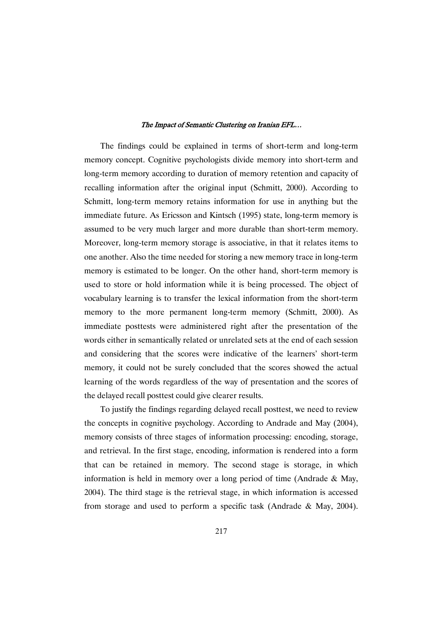The findings could be explained in terms of short-term and long-term memory concept. Cognitive psychologists divide memory into short-term and long-term memory according to duration of memory retention and capacity of recalling information after the original input (Schmitt, 2000). According to Schmitt, long-term memory retains information for use in anything but the immediate future. As Ericsson and Kintsch (1995) state, long-term memory is assumed to be very much larger and more durable than short-term memory. Moreover, long-term memory storage is associative, in that it relates items to one another. Also the time needed for storing a new memory trace in long-term memory is estimated to be longer. On the other hand, short-term memory is used to store or hold information while it is being processed. The object of vocabulary learning is to transfer the lexical information from the short-term memory to the more permanent long-term memory (Schmitt, 2000). As immediate posttests were administered right after the presentation of the words either in semantically related or unrelated sets at the end of each session and considering that the scores were indicative of the learners' short-term memory, it could not be surely concluded that the scores showed the actual learning of the words regardless of the way of presentation and the scores of the delayed recall posttest could give clearer results.

To justify the findings regarding delayed recall posttest, we need to review the concepts in cognitive psychology. According to Andrade and May (2004), memory consists of three stages of information processing: encoding, storage, and retrieval. In the first stage, encoding, information is rendered into a form that can be retained in memory. The second stage is storage, in which information is held in memory over a long period of time (Andrade & May, 2004). The third stage is the retrieval stage, in which information is accessed from storage and used to perform a specific task (Andrade & May, 2004).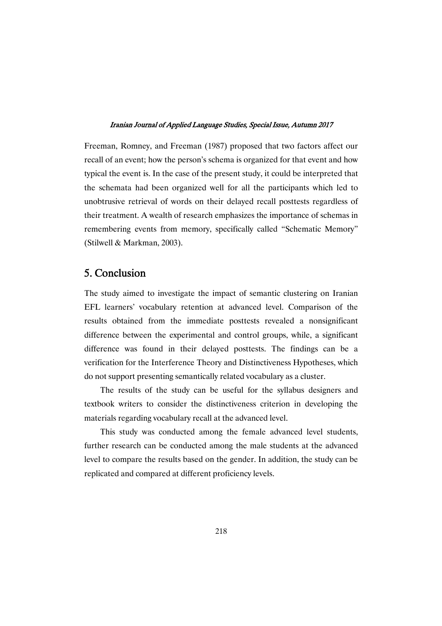Freeman, Romney, and Freeman (1987) proposed that two factors affect our recall of an event; how the person's schema is organized for that event and how typical the event is. In the case of the present study, it could be interpreted that the schemata had been organized well for all the participants which led to unobtrusive retrieval of words on their delayed recall posttests regardless of their treatment. A wealth of research emphasizes the importance of schemas in remembering events from memory, specifically called "Schematic Memory" (Stilwell & Markman, 2003).

# 5.Conclusion

The study aimed to investigate the impact of semantic clustering on Iranian EFL learners' vocabulary retention at advanced level. Comparison of the results obtained from the immediate posttests revealed a nonsignificant difference between the experimental and control groups, while, a significant difference was found in their delayed posttests. The findings can be a verification for the Interference Theory and Distinctiveness Hypotheses, which do not support presenting semantically related vocabulary as a cluster.

The results of the study can be useful for the syllabus designers and textbook writers to consider the distinctiveness criterion in developing the materials regarding vocabulary recall at the advanced level.

This study was conducted among the female advanced level students, further research can be conducted among the male students at the advanced level to compare the results based on the gender. In addition, the study can be replicated and compared at different proficiency levels.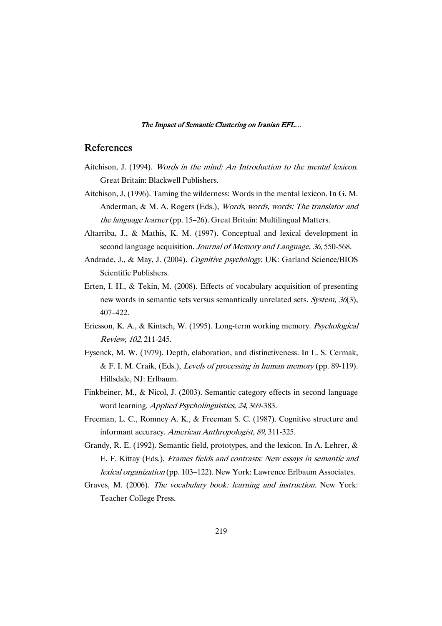### References

- Aitchison, J. (1994). Words in the mind: An Introduction to the mental lexicon. Great Britain: Blackwell Publishers.
- Aitchison, J. (1996). Taming the wilderness: Words in the mental lexicon. In G. M. Anderman, & M. A. Rogers (Eds.), Words, words, words: The translator and the language learner (pp. 15–26). Great Britain: Multilingual Matters.
- Altarriba, J., & Mathis, K. M. (1997). Conceptual and lexical development in second language acquisition. Journal of Memory and Language, 36, 550-568.
- Andrade, J., & May, J. (2004). Cognitive psychology. UK: Garland Science/BIOS Scientific Publishers.
- Erten, I. H., & Tekin, M. (2008). Effects of vocabulary acquisition of presenting new words in semantic sets versus semantically unrelated sets. System, 36(3), 407–422.
- Ericsson, K. A., & Kintsch, W. (1995). Long-term working memory. Psychological Review, <sup>102</sup>, 211-245.
- Eysenck, M. W. (1979). Depth, elaboration, and distinctiveness. In L. S. Cermak, & F. I. M. Craik, (Eds.), Levels of processing in human memory (pp. 89-119). Hillsdale, NJ: Erlbaum.
- Finkbeiner, M., & Nicol, J. (2003). Semantic category effects in second language word learning. Applied Psycholinguistics, <sup>24</sup>, 369-383.
- Freeman, L. C., Romney A. K., & Freeman S. C. (1987). Cognitive structure and informant accuracy. American Anthropologist, <sup>89</sup>, 311-325.
- Grandy, R. E. (1992). Semantic field, prototypes, and the lexicon. In A. Lehrer, & E. F. Kittay (Eds.), Frames fields and contrasts: New essays in semantic and lexical organization (pp. 103–122). New York: Lawrence Erlbaum Associates.
- Graves, M. (2006). The vocabulary book: learning and instruction. New York: Teacher College Press.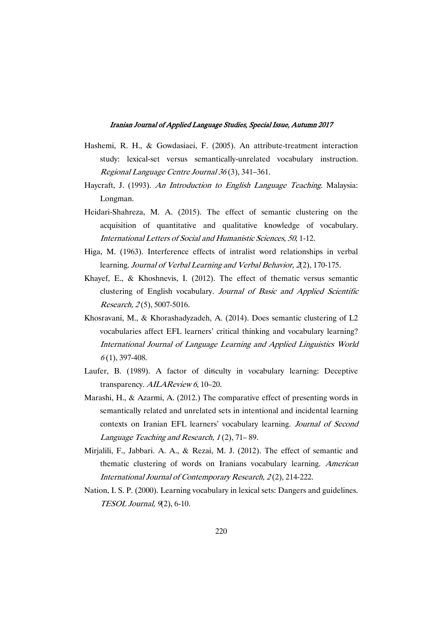- Hashemi, R. H., & Gowdasiaei, F. (2005). An attribute-treatment interaction study: lexical-set versus semantically-unrelated vocabulary instruction. Regional Language Centre Journal <sup>36</sup> (3), 341–361.
- Haycraft, J. (1993). An Introduction to English Language Teaching. Malaysia: Longman.
- Heidari-Shahreza, M. A. (2015). The effect of semantic clustering on the acquisition of quantitative and qualitative knowledge of vocabulary. International Letters of Social and Humanistic Sciences, <sup>50</sup>, 1-12.
- Higa, M. (1963). Interference effects of intralist word relationships in verbal learning. Journal of Verbal Learning and Verbal Behavior, 2(2), 170-175.
- Khayef, E., & Khoshnevis, I. (2012). The effect of thematic versus semantic clustering of English vocabulary. Journal of Basic and Applied Scientific Research, 2(5), 5007-5016.
- Khosravani, M., & Khorashadyzadeh, A. (2014). Does semantic clustering of L2 vocabularies affect EFL learners' critical thinking and vocabulary learning? International Journal of Language Learning and Applied Linguistics World  $6(1)$ , 397-408.
- Laufer, B. (1989). A factor of difficulty in vocabulary learning: Deceptive transparency. AILAReview 6, 10-20.
- Marashi, H., & Azarmi, A. (2012.) The comparative effect of presenting words in semantically related and unrelated sets in intentional and incidental learning contexts on Iranian EFL learners' vocabulary learning. Journal of Second Language Teaching and Research, <sup>1</sup> (2), 71– 89.
- Mirjalili, F., Jabbari. A. A., & Rezai, M. J. (2012). The effect of semantic and thematic clustering of words on Iranians vocabulary learning. American International Journal of Contemporary Research, <sup>2</sup> (2), 214-222.
- Nation, I. S. P. (2000). Learning vocabulary in lexical sets: Dangers and guidelines. TESOL Journal, <sup>9</sup>(2), 6-10.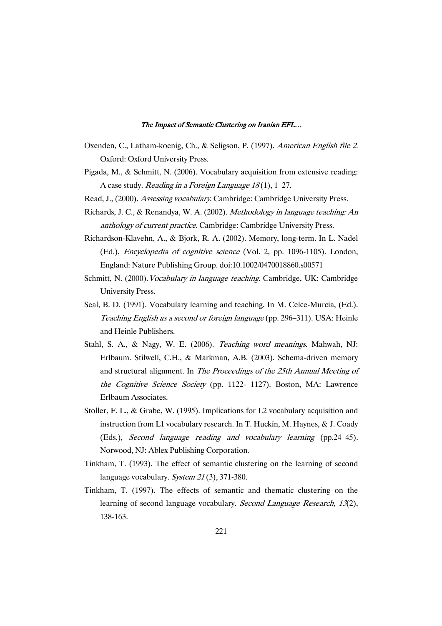- Oxenden, C., Latham-koenig, Ch., & Seligson, P. (1997). American English file <sup>2</sup>. Oxford: Oxford University Press.
- Pigada, M., & Schmitt, N. (2006). Vocabulary acquisition from extensive reading: A case study. *Reading in a Foreign Language 18*(1), 1–27.
- Read, J., (2000). Assessing vocabulary. Cambridge: Cambridge University Press.
- Richards, J. C., & Renandya, W. A. (2002). Methodology in language teaching: An anthology of current practice. Cambridge: Cambridge University Press.
- Richardson-Klavehn, A., & Bjork, R. A. (2002). Memory, long-term. In L. Nadel (Ed.), Encyclopedia of cognitive science (Vol. 2, pp. 1096-1105). London, England: Nature Publishing Group. doi:10.1002/0470018860.s00571
- Schmitt, N. (2000). *Vocabulary in language teaching*. Cambridge, UK: Cambridge University Press.
- Seal, B. D. (1991). Vocabulary learning and teaching. In M. Celce-Murcia, (Ed.). Teaching English as <sup>a</sup> second or foreign language (pp. 296–311). USA: Heinle and Heinle Publishers.
- Stahl, S. A., & Nagy, W. E. (2006). Teaching word meanings. Mahwah, NJ: Erlbaum. Stilwell, C.H., & Markman, A.B. (2003). Schema-driven memory and structural alignment. In The Proceedings of the 25th Annual Meeting of the Cognitive Science Society (pp. 1122- 1127). Boston, MA: Lawrence Erlbaum Associates.
- Stoller, F. L., & Grabe, W. (1995). Implications for L2 vocabulary acquisition and instruction from L1 vocabulary research. In T. Huckin, M. Haynes, & J. Coady (Eds.), Second language reading and vocabulary learning (pp.24–45). Norwood, NJ: Ablex Publishing Corporation.
- Tinkham, T. (1993). The effect of semantic clustering on the learning of second language vocabulary. System 21(3), 371-380.
- Tinkham, T. (1997). The effects of semantic and thematic clustering on the learning of second language vocabulary. Second Language Research, 13(2), 138-163.